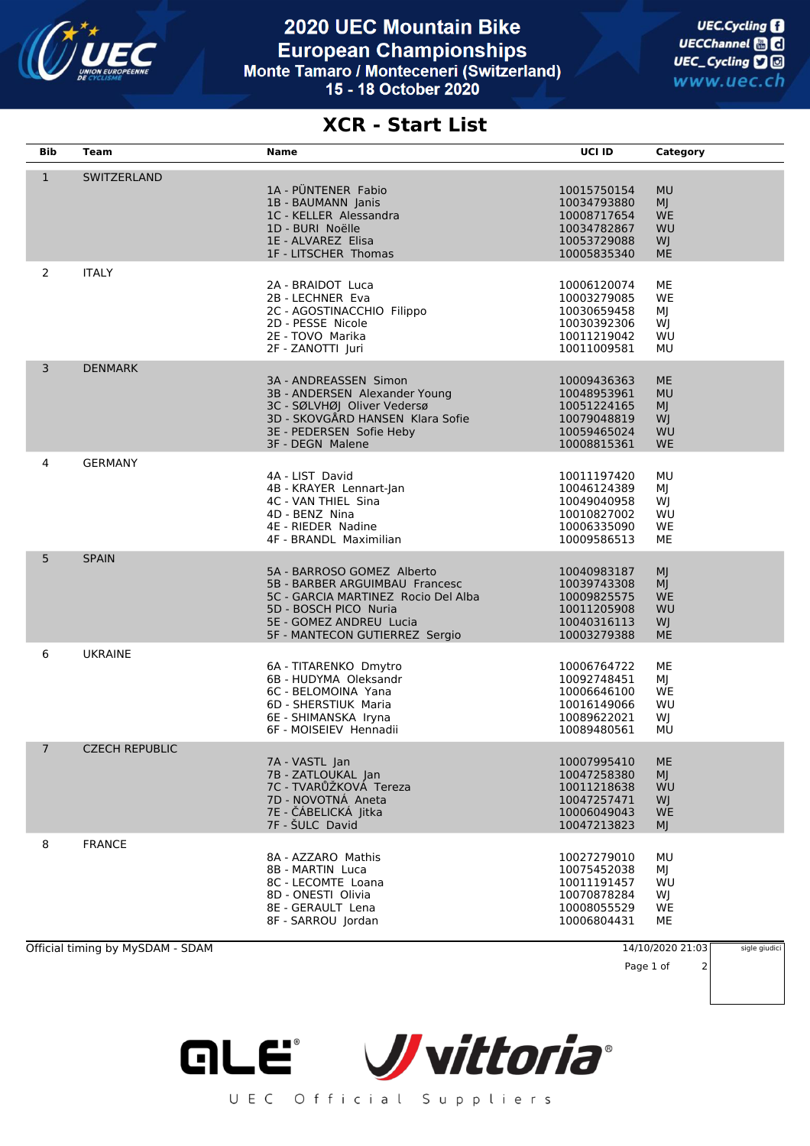

## **2020 UEC Mountain Bike European Championships** Monte Tamaro / Monteceneri (Switzerland) 15 - 18 October 2020

## **XCR - Start List**

| Bib            | <b>Team</b>           | Name                                                                                                                                                                                      | UCI ID                                                                                 | Category                                                     |
|----------------|-----------------------|-------------------------------------------------------------------------------------------------------------------------------------------------------------------------------------------|----------------------------------------------------------------------------------------|--------------------------------------------------------------|
| $\mathbf{1}$   | SWITZERLAND           | 1A - PÜNTENER Fabio<br>1B - BAUMANN Janis<br>1C - KELLER Alessandra<br>1D - BURI Noëlle<br>1E - ALVAREZ Elisa<br>1F - LITSCHER Thomas                                                     | 10015750154<br>10034793880<br>10008717654<br>10034782867<br>10053729088<br>10005835340 | <b>MU</b><br>MJ<br><b>WE</b><br>WU<br>WJ<br><b>ME</b>        |
| $\overline{2}$ | <b>ITALY</b>          | 2A - BRAIDOT Luca<br>2B - LECHNER Eva<br>2C - AGOSTINACCHIO Filippo<br>2D - PESSE Nicole<br>2E - TOVO Marika<br>2F - ZANOTTI Juri                                                         | 10006120074<br>10003279085<br>10030659458<br>10030392306<br>10011219042<br>10011009581 | ME<br>WE<br>ΜJ<br>WJ<br>WU<br>MU                             |
| 3              | <b>DENMARK</b>        | 3A - ANDREASSEN Simon<br>3B - ANDERSEN Alexander Young<br>3C - SØLVHØJ Oliver Vedersø<br>3D - SKOVGÅRD HANSEN Klara Sofie<br>3E - PEDERSEN Sofie Heby<br>3F - DEGN Malene                 | 10009436363<br>10048953961<br>10051224165<br>10079048819<br>10059465024<br>10008815361 | <b>ME</b><br><b>MU</b><br>MJ<br>WJ<br>WU<br><b>WE</b>        |
| 4              | <b>GERMANY</b>        | 4A - LIST David<br>4B - KRAYER Lennart-Jan<br>4C - VAN THIEL Sina<br>4D - BENZ Nina<br>4E - RIEDER Nadine<br>4F - BRANDL Maximilian                                                       | 10011197420<br>10046124389<br>10049040958<br>10010827002<br>10006335090<br>10009586513 | MU<br>ΜJ<br>WJ<br>WU<br>WE<br>ME                             |
| 5              | <b>SPAIN</b>          | 5A - BARROSO GOMEZ Alberto<br>5B - BARBER ARGUIMBAU Francesc<br>5C - GARCIA MARTINEZ Rocio Del Alba<br>5D - BOSCH PICO Nuria<br>5E - GOMEZ ANDREU Lucia<br>5F - MANTECON GUTIERREZ Sergio | 10040983187<br>10039743308<br>10009825575<br>10011205908<br>10040316113<br>10003279388 | <b>MJ</b><br><b>MJ</b><br><b>WE</b><br>WU<br>WJ<br><b>ME</b> |
| 6              | <b>UKRAINE</b>        | 6A - TITARENKO Dmytro<br>6B - HUDYMA Oleksandr<br>6C - BELOMOINA Yana<br>6D - SHERSTIUK Maria<br>6E - SHIMANSKA Iryna<br>6F - MOISEIEV Hennadii                                           | 10006764722<br>10092748451<br>10006646100<br>10016149066<br>10089622021<br>10089480561 | МE<br>ΜJ<br>WE<br>WU<br>WJ<br>MU                             |
| $7^{\circ}$    | <b>CZECH REPUBLIC</b> | 7A - VASTL Jan<br>7B - ZATLOUKAL Jan<br>7C - TVARŮŽKOVÁ Tereza<br>7D - NOVOTNÁ Aneta<br>7E - ČÁBELICKÁ Jitka<br>7F - ŠULC David                                                           | 10007995410<br>10047258380<br>10011218638<br>10047257471<br>10006049043<br>10047213823 | ME<br>MJ<br>WU<br>WJ<br><b>WE</b><br>MJ                      |
| 8              | <b>FRANCE</b>         | 8A - AZZARO Mathis<br>8B - MARTIN Luca<br>8C - LECOMTE Loana<br>8D - ONESTI Olivia<br>8E - GERAULT Lena<br>8F - SARROU Jordan                                                             | 10027279010<br>10075452038<br>10011191457<br>10070878284<br>10008055529<br>10006804431 | MU<br>ΜJ<br>WU<br>WJ<br>WE<br>MЕ                             |

Official timing by MySDAM - SDAM 14/10/2020 21:03

sigle giudici